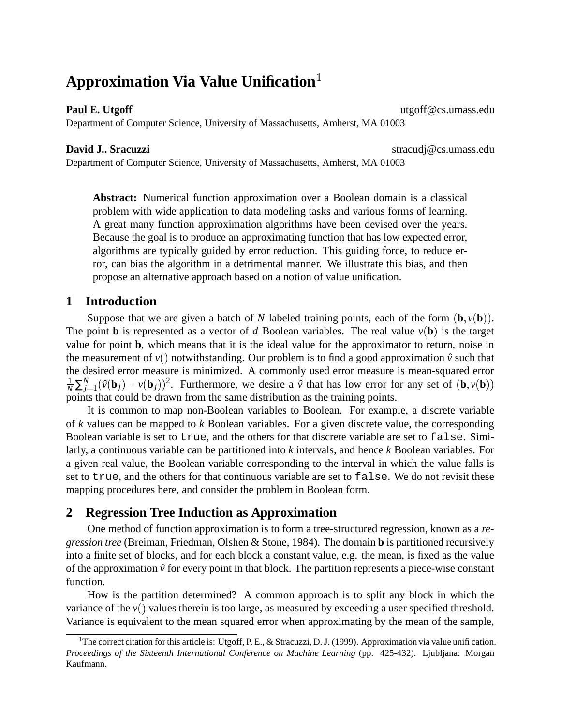# **Approximation Via Value Unification**<sup>1</sup>

#### **Paul E. Utgoff** utgoff@cs.umass.edu

Department of Computer Science, University of Massachusetts, Amherst, MA 01003

**David J.. Sracuzzi** stracudj@cs.umass.edu

Department of Computer Science, University of Massachusetts, Amherst, MA 01003

**Abstract:** Numerical function approximation over a Boolean domain is a classical problem with wide application to data modeling tasks and various forms of learning. A great many function approximation algorithms have been devised over the years. Because the goal is to produce an approximating function that has low expected error, algorithms are typically guided by error reduction. This guiding force, to reduce error, can bias the algorithm in a detrimental manner. We illustrate this bias, and then propose an alternative approach based on a notion of value unification.

# **1 Introduction**

Suppose that we are given a batch of *N* labeled training points, each of the form  $(\mathbf{b}, v(\mathbf{b}))$ . The point **b** is represented as a vector of *d* Boolean variables. The real value  $v(\mathbf{b})$  is the target value for point **b**, which means that it is the ideal value for the approximator to return, noise in the measurement of  $v()$  notwithstanding. Our problem is to find a good approximation  $\hat{v}$  such that the desired error measure is minimized. A commonly used error measure is mean-squared error  $\frac{1}{N}\sum_{j=1}^{N}(\hat{v}(\mathbf{b}_j) - v(\mathbf{b}_j))^2$ . Furthermore, we desire a  $\hat{v}$  that has low error for any set of  $(\mathbf{b}, v(\mathbf{b}))$ points that could be drawn from the same distribution as the training points.

It is common to map non-Boolean variables to Boolean. For example, a discrete variable of *k* values can be mapped to *k* Boolean variables. For a given discrete value, the corresponding Boolean variable is set to true, and the others for that discrete variable are set to false. Similarly, a continuous variable can be partitioned into *k* intervals, and hence *k* Boolean variables. For a given real value, the Boolean variable corresponding to the interval in which the value falls is set to true, and the others for that continuous variable are set to false. We do not revisit these mapping procedures here, and consider the problem in Boolean form.

# **2 Regression Tree Induction as Approximation**

One method of function approximation is to form a tree-structured regression, known as a *regression tree* (Breiman, Friedman, Olshen & Stone, 1984). The domain **b** is partitioned recursively into a finite set of blocks, and for each block a constant value, e.g. the mean, is fixed as the value of the approximation  $\hat{v}$  for every point in that block. The partition represents a piece-wise constant function.

How is the partition determined? A common approach is to split any block in which the variance of the  $v()$  values therein is too large, as measured by exceeding a user specified threshold. Variance is equivalent to the mean squared error when approximating by the mean of the sample,

<sup>&</sup>lt;sup>1</sup>The correct citation for this article is: Utgoff, P. E., & Stracuzzi, D. J. (1999). Approximation via value unification. *Proceedings of the Sixteenth International Conference on Machine Learning* (pp. 425-432). Ljubljana: Morgan Kaufmann.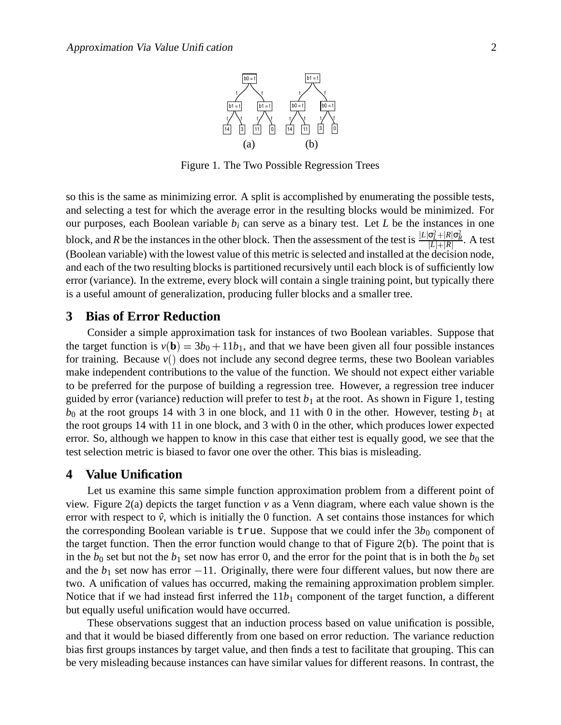

Figure 1. The Two Possible Regression Trees

so this is the same as minimizing error. A split is accomplished by enumerating the possible tests, and selecting a test for which the average error in the resulting blocks would be minimized. For our purposes, each Boolean variable  $b_i$  can serve as a binary test. Let  $L$  be the instances in one block, and *R* be the instances in the other block. Then the assessment of the test is  $\frac{|L|\sigma_L^2 + |R|\sigma_R^2}{|L|+|R|}$ . A test (Boolean variable) with the lowest value of this metric is selected and installed at the decision node, and each of the two resulting blocks is partitioned recursively until each block is of sufficiently low error (variance). In the extreme, every block will contain a single training point, but typically there is a useful amount of generalization, producing fuller blocks and a smaller tree.

## **3 Bias of Error Reduction**

Consider a simple approximation task for instances of two Boolean variables. Suppose that the target function is  $v(\mathbf{b}) = 3b_0 + 11b_1$ , and that we have been given all four possible instances for training. Because  $v()$  does not include any second degree terms, these two Boolean variables make independent contributions to the value of the function. We should not expect either variable to be preferred for the purpose of building a regression tree. However, a regression tree inducer guided by error (variance) reduction will prefer to test  $b_1$  at the root. As shown in Figure 1, testing  $b_0$  at the root groups 14 with 3 in one block, and 11 with 0 in the other. However, testing  $b_1$  at the root groups 14 with 11 in one block, and 3 with 0 in the other, which produces lower expected error. So, although we happen to know in this case that either test is equally good, we see that the test selection metric is biased to favor one over the other. This bias is misleading.

# **4 Value Unification**

Let us examine this same simple function approximation problem from a different point of view. Figure 2(a) depicts the target function *v* as a Venn diagram, where each value shown is the error with respect to  $\hat{v}$ , which is initially the 0 function. A set contains those instances for which the corresponding Boolean variable is true. Suppose that we could infer the  $3b_0$  component of the target function. Then the error function would change to that of Figure 2(b). The point that is in the  $b_0$  set but not the  $b_1$  set now has error 0, and the error for the point that is in both the  $b_0$  set and the  $b_1$  set now has error  $-11$ . Originally, there were four different values, but now there are two. A unification of values has occurred, making the remaining approximation problem simpler. Notice that if we had instead first inferred the  $11b_1$  component of the target function, a different but equally useful unification would have occurred.

These observations suggest that an induction process based on value unification is possible, and that it would be biased differently from one based on error reduction. The variance reduction bias first groups instances by target value, and then finds a test to facilitate that grouping. This can be very misleading because instances can have similar values for different reasons. In contrast, the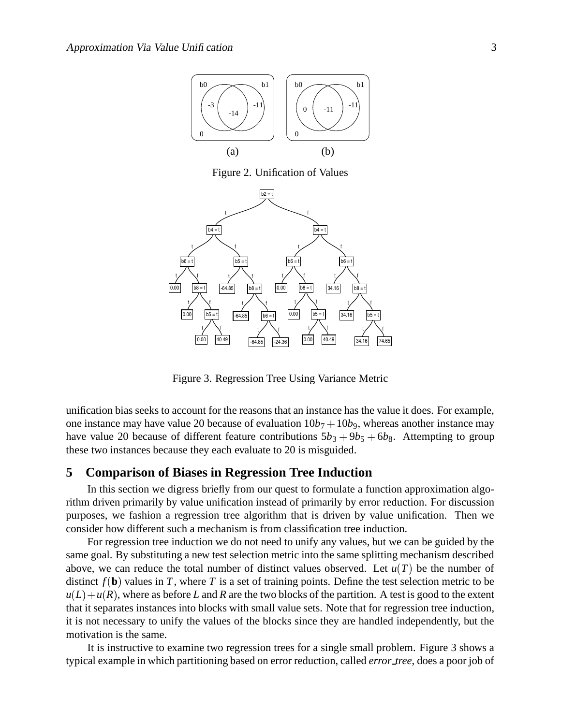

Figure 2. Unification of Values



Figure 3. Regression Tree Using Variance Metric

unification bias seeks to account for the reasons that an instance has the value it does. For example, one instance may have value 20 because of evaluation  $10b_7 + 10b_9$ , whereas another instance may have value 20 because of different feature contributions  $5b_3 + 9b_5 + 6b_8$ . Attempting to group these two instances because they each evaluate to 20 is misguided.

# **5 Comparison of Biases in Regression Tree Induction**

In this section we digress briefly from our quest to formulate a function approximation algorithm driven primarily by value unification instead of primarily by error reduction. For discussion purposes, we fashion a regression tree algorithm that is driven by value unification. Then we consider how different such a mechanism is from classification tree induction.

For regression tree induction we do not need to unify any values, but we can be guided by the same goal. By substituting a new test selection metric into the same splitting mechanism described above, we can reduce the total number of distinct values observed. Let  $u(T)$  be the number of distinct  $f(\mathbf{b})$  values in *T*, where *T* is a set of training points. Define the test selection metric to be  $u(L) + u(R)$ , where as before *L* and *R* are the two blocks of the partition. A test is good to the extent that it separates instances into blocks with small value sets. Note that for regression tree induction, it is not necessary to unify the values of the blocks since they are handled independently, but the motivation is the same.

It is instructive to examine two regression trees for a single small problem. Figure 3 shows a typical example in which partitioning based on error reduction, called *error tree*, does a poor job of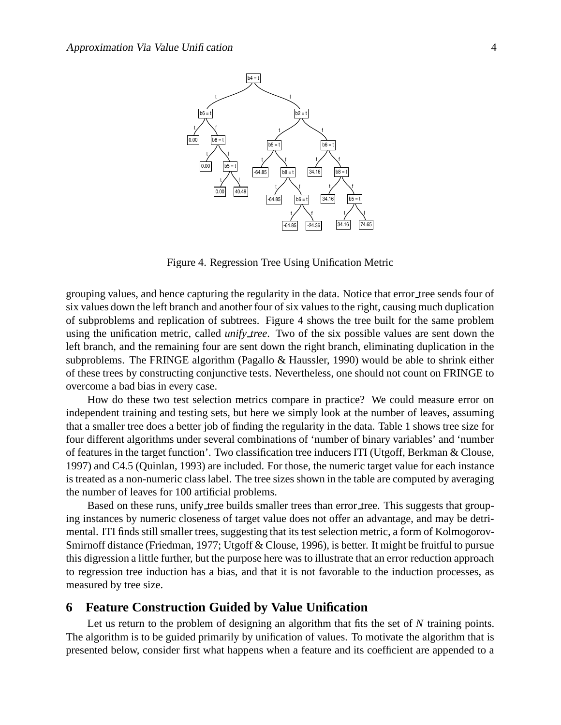

Figure 4. Regression Tree Using Unification Metric

grouping values, and hence capturing the regularity in the data. Notice that error tree sends four of six values down the left branch and another four of six values to the right, causing much duplication of subproblems and replication of subtrees. Figure 4 shows the tree built for the same problem using the unification metric, called *unify tree*. Two of the six possible values are sent down the left branch, and the remaining four are sent down the right branch, eliminating duplication in the subproblems. The FRINGE algorithm (Pagallo & Haussler, 1990) would be able to shrink either of these trees by constructing conjunctive tests. Nevertheless, one should not count on FRINGE to overcome a bad bias in every case.

How do these two test selection metrics compare in practice? We could measure error on independent training and testing sets, but here we simply look at the number of leaves, assuming that a smaller tree does a better job of finding the regularity in the data. Table 1 shows tree size for four different algorithms under several combinations of 'number of binary variables' and 'number of features in the target function'. Two classification tree inducers ITI (Utgoff, Berkman & Clouse, 1997) and C4.5 (Quinlan, 1993) are included. For those, the numeric target value for each instance is treated as a non-numeric class label. The tree sizes shown in the table are computed by averaging the number of leaves for 100 artificial problems.

Based on these runs, unify tree builds smaller trees than error tree. This suggests that grouping instances by numeric closeness of target value does not offer an advantage, and may be detrimental. ITI finds still smaller trees, suggesting that its test selection metric, a form of Kolmogorov-Smirnoff distance (Friedman, 1977; Utgoff & Clouse, 1996), is better. It might be fruitful to pursue this digression a little further, but the purpose here was to illustrate that an error reduction approach to regression tree induction has a bias, and that it is not favorable to the induction processes, as measured by tree size.

## **6 Feature Construction Guided by Value Unification**

Let us return to the problem of designing an algorithm that fits the set of *N* training points. The algorithm is to be guided primarily by unification of values. To motivate the algorithm that is presented below, consider first what happens when a feature and its coefficient are appended to a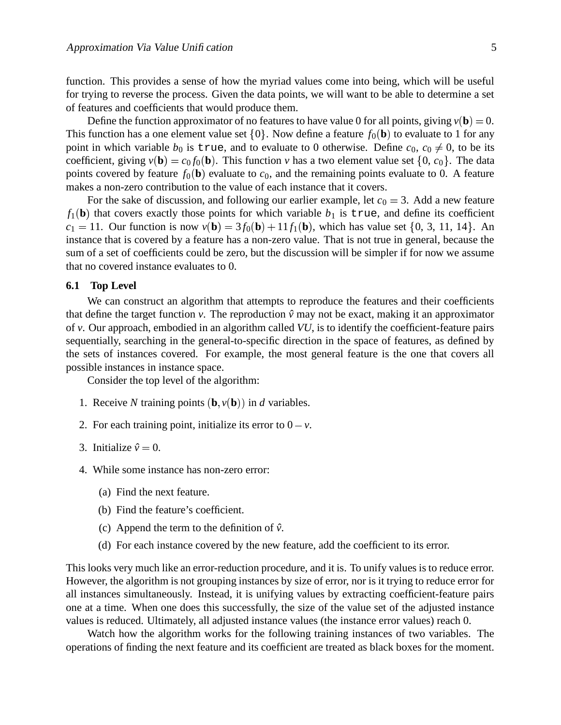function. This provides a sense of how the myriad values come into being, which will be useful for trying to reverse the process. Given the data points, we will want to be able to determine a set of features and coefficients that would produce them.

Define the function approximator of no features to have value 0 for all points, giving  $v(\mathbf{b}) = 0$ . This function has a one element value set  $\{0\}$ . Now define a feature  $f_0(\mathbf{b})$  to evaluate to 1 for any point in which variable  $b_0$  is true, and to evaluate to 0 otherwise. Define  $c_0, c_0 \neq 0$ , to be its coefficient, giving  $v(\mathbf{b}) = c_0 f_0(\mathbf{b})$ . This function *v* has a two element value set  $\{0, c_0\}$ . The data points covered by feature  $f_0(\mathbf{b})$  evaluate to  $c_0$ , and the remaining points evaluate to 0. A feature makes a non-zero contribution to the value of each instance that it covers.

For the sake of discussion, and following our earlier example, let  $c_0 = 3$ . Add a new feature  $f_1(\mathbf{b})$  that covers exactly those points for which variable  $b_1$  is true, and define its coefficient  $c_1 = 11$ . Our function is now  $v(\mathbf{b}) = 3f_0(\mathbf{b}) + 11f_1(\mathbf{b})$ , which has value set  $\{0, 3, 11, 14\}$ . An instance that is covered by a feature has a non-zero value. That is not true in general, because the sum of a set of coefficients could be zero, but the discussion will be simpler if for now we assume that no covered instance evaluates to 0.

#### **6.1 Top Level**

We can construct an algorithm that attempts to reproduce the features and their coefficients that define the target function *v*. The reproduction  $\hat{v}$  may not be exact, making it an approximator of *v*. Our approach, embodied in an algorithm called *VU*, is to identify the coefficient-feature pairs sequentially, searching in the general-to-specific direction in the space of features, as defined by the sets of instances covered. For example, the most general feature is the one that covers all possible instances in instance space.

Consider the top level of the algorithm:

- 1. Receive *N* training points  $(\mathbf{b}, v(\mathbf{b}))$  in *d* variables.
- 2. For each training point, initialize its error to  $0 v$ .
- 3. Initialize  $\hat{v} = 0$ .
- 4. While some instance has non-zero error:
	- (a) Find the next feature.
	- (b) Find the feature's coefficient.
	- (c) Append the term to the definition of  $\hat{v}$ .
	- (d) For each instance covered by the new feature, add the coefficient to its error.

This looks very much like an error-reduction procedure, and it is. To unify values is to reduce error. However, the algorithm is not grouping instances by size of error, nor is it trying to reduce error for all instances simultaneously. Instead, it is unifying values by extracting coefficient-feature pairs one at a time. When one does this successfully, the size of the value set of the adjusted instance values is reduced. Ultimately, all adjusted instance values (the instance error values) reach 0.

Watch how the algorithm works for the following training instances of two variables. The operations of finding the next feature and its coefficient are treated as black boxes for the moment.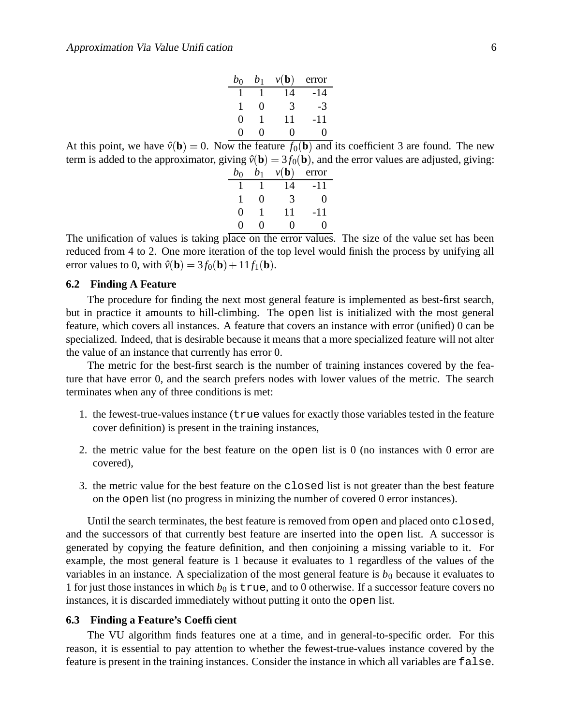| $b_0$             | $b_1$ | $\nu(\mathbf{b})$ | error             |
|-------------------|-------|-------------------|-------------------|
|                   |       | 14                | -14               |
| 1                 | 0     | 3                 | -3                |
| 0                 |       | 11                | -11               |
| $\mathbf{\Omega}$ | 0     | 0                 | $\mathbf{\Omega}$ |

At this point, we have  $\hat{v}(\mathbf{b}) = 0$ . Now the feature  $f_0(\mathbf{b})$  and its coefficient 3 are found. The new term is added to the approximator, giving  $\hat{v}(\mathbf{b}) = 3f_0(\mathbf{b})$ , and the error values are adjusted, giving:

| $b_0$             | $b_1$             | $v(\mathbf{b})$ | error |
|-------------------|-------------------|-----------------|-------|
|                   |                   | 14              | -11   |
| 1                 | $\mathbf{\Omega}$ | 3               | 0     |
| 0                 |                   | 11              | -11   |
| $\mathbf{\Omega}$ | 0                 | 0               |       |

The unification of values is taking place on the error values. The size of the value set has been reduced from 4 to 2. One more iteration of the top level would finish the process by unifying all error values to 0, with  $\hat{v}(\mathbf{b}) = 3f_0(\mathbf{b}) + 11f_1(\mathbf{b})$ .

#### **6.2 Finding A Feature**

The procedure for finding the next most general feature is implemented as best-first search, but in practice it amounts to hill-climbing. The open list is initialized with the most general feature, which covers all instances. A feature that covers an instance with error (unified) 0 can be specialized. Indeed, that is desirable because it means that a more specialized feature will not alter the value of an instance that currently has error 0.

The metric for the best-first search is the number of training instances covered by the feature that have error 0, and the search prefers nodes with lower values of the metric. The search terminates when any of three conditions is met:

- 1. the fewest-true-values instance (true values for exactly those variables tested in the feature cover definition) is present in the training instances,
- 2. the metric value for the best feature on the open list is 0 (no instances with 0 error are covered),
- 3. the metric value for the best feature on the closed list is not greater than the best feature on the open list (no progress in minizing the number of covered 0 error instances).

Until the search terminates, the best feature is removed from open and placed onto closed, and the successors of that currently best feature are inserted into the open list. A successor is generated by copying the feature definition, and then conjoining a missing variable to it. For example, the most general feature is 1 because it evaluates to 1 regardless of the values of the variables in an instance. A specialization of the most general feature is  $b_0$  because it evaluates to 1 for just those instances in which  $b_0$  is true, and to 0 otherwise. If a successor feature covers no instances, it is discarded immediately without putting it onto the open list.

#### **6.3 Finding a Feature's Coefficient**

The VU algorithm finds features one at a time, and in general-to-specific order. For this reason, it is essential to pay attention to whether the fewest-true-values instance covered by the feature is present in the training instances. Consider the instance in which all variables are false.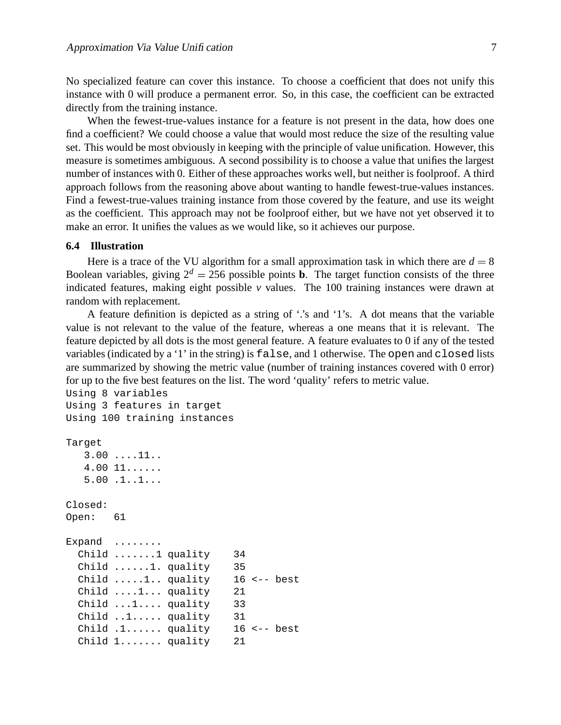No specialized feature can cover this instance. To choose a coefficient that does not unify this instance with 0 will produce a permanent error. So, in this case, the coefficient can be extracted directly from the training instance.

When the fewest-true-values instance for a feature is not present in the data, how does one find a coefficient? We could choose a value that would most reduce the size of the resulting value set. This would be most obviously in keeping with the principle of value unification. However, this measure is sometimes ambiguous. A second possibility is to choose a value that unifies the largest number of instances with 0. Either of these approaches works well, but neither is foolproof. A third approach follows from the reasoning above about wanting to handle fewest-true-values instances. Find a fewest-true-values training instance from those covered by the feature, and use its weight as the coefficient. This approach may not be foolproof either, but we have not yet observed it to make an error. It unifies the values as we would like, so it achieves our purpose.

#### **6.4 Illustration**

Here is a trace of the VU algorithm for a small approximation task in which there are  $d = 8$ Boolean variables, giving  $2^d = 256$  possible points **b**. The target function consists of the three indicated features, making eight possible *v* values. The 100 training instances were drawn at random with replacement.

A feature definition is depicted as a string of '.'s and '1's. A dot means that the variable value is not relevant to the value of the feature, whereas a one means that it is relevant. The feature depicted by all dots is the most general feature. A feature evaluates to 0 if any of the tested variables (indicated by a '1' in the string) is false, and 1 otherwise. The open and closed lists are summarized by showing the metric value (number of training instances covered with 0 error) for up to the five best features on the list. The word 'quality' refers to metric value.

```
Using 8 variables
Using 3 features in target
Using 100 training instances
Target
  3.00 ....11..
  4.00 11......
  5.00 .1..1...
Closed:
Open: 61
Expand .......
 Child .......1 quality 34
 Child ......1. quality 35
 Child \dots 1. quality 16 <-- best
 Child ....1... quality 21
 Child ...1.... quality 33
 Child ..1..... quality 31
 Child .1...... quality 16 <-- best
 Child 1....... quality 21
```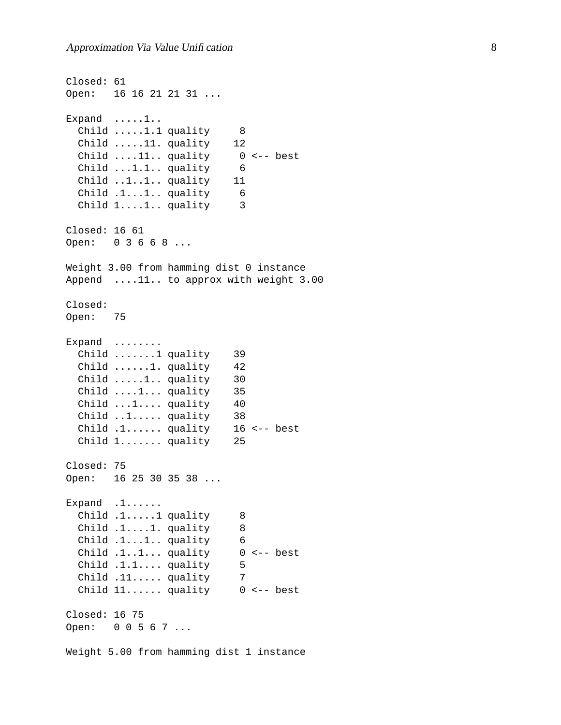```
Closed: 61
Open: 16 16 21 21 31 ...
Expand .....1..
 Child .....1.1 quality 8
 Child .....11. quality 12
 Child ....11.. quality 0 <-- best
 Child ...1.1.. quality 6
 Child ..1..1.. quality 11
 Child .1...1.. quality 6
 Child 1....1.. quality 3
Closed: 16 61
Open: 0 3 6 6 8 ...
Weight 3.00 from hamming dist 0 instance
Append ....11.. to approx with weight 3.00
Closed:
Open: 75
Expand ........
 Child .......1 quality 39
 Child ......1. quality 42
 Child .....1.. quality 30
 Child ....1... quality 35
 Child ...1.... quality 40
 Child ..1..... quality 38
 Child .1...... quality 16 <-- best
 Child 1....... quality 25
Closed: 75
Open: 16 25 30 35 38 ...
Expand .1......
 Child .1.....1 quality 8
 Child .1....1. quality 8
 Child .1...1.. quality 6
 Child .1..1... quality 0 <-- best
 Child .1.1.... quality 5
 Child .11..... quality 7
 Child 11...... quality 0 <-- best
Closed: 16 75
Open: 0 0 5 6 7 ...
Weight 5.00 from hamming dist 1 instance
```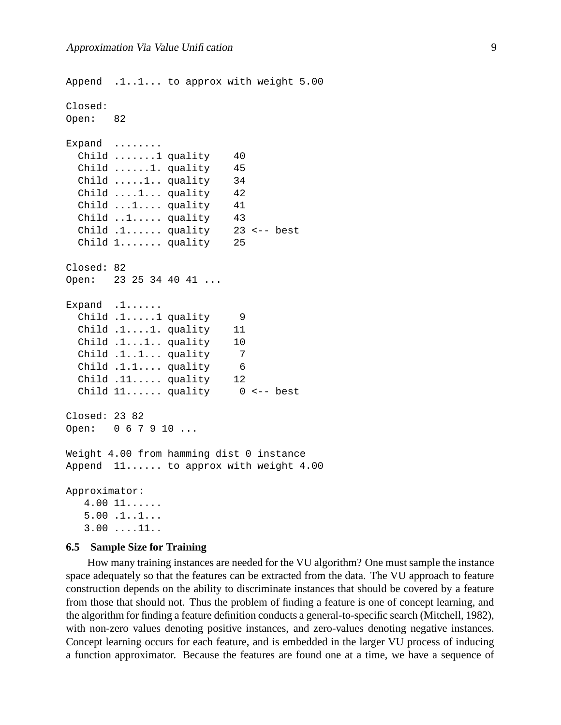```
Append .1..1... to approx with weight 5.00
Closed:
Open: 82
Expand ........
 Child .......1 quality 40
 Child ......1. quality 45
 Child .....1.. quality 34
 Child ....1... quality 42
 Child ...1.... quality 41
 Child ..1..... quality 43
 Child .1...... quality 23 <-- best
 Child 1....... quality 25
Closed: 82
Open: 23 25 34 40 41 ...
Expand .1......
 Child .1.....1 quality 9
 Child .1....1. quality 11
 Child .1...1.. quality 10
 Child .1..1... quality 7
 Child .1.1.... quality 6
 Child .11..... quality 12
 Child 11...... quality 0 <-- best
Closed: 23 82
Open: 0 6 7 9 10 ...
Weight 4.00 from hamming dist 0 instance
Append 11...... to approx with weight 4.00
Approximator:
  4.00 11......
  5.00 .1..1...
  3.00 ....11..
```
#### **6.5 Sample Size for Training**

How many training instances are needed for the VU algorithm? One must sample the instance space adequately so that the features can be extracted from the data. The VU approach to feature construction depends on the ability to discriminate instances that should be covered by a feature from those that should not. Thus the problem of finding a feature is one of concept learning, and the algorithm for finding a feature definition conducts a general-to-specific search (Mitchell, 1982), with non-zero values denoting positive instances, and zero-values denoting negative instances. Concept learning occurs for each feature, and is embedded in the larger VU process of inducing a function approximator. Because the features are found one at a time, we have a sequence of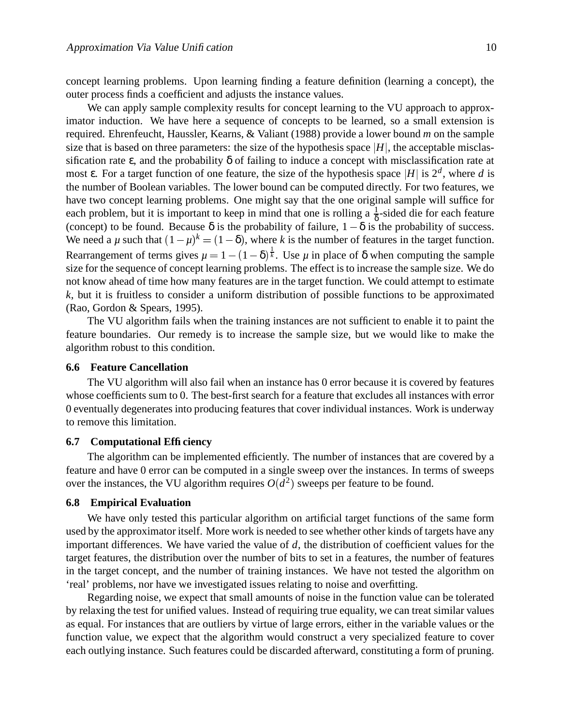concept learning problems. Upon learning finding a feature definition (learning a concept), the outer process finds a coefficient and adjusts the instance values.

We can apply sample complexity results for concept learning to the VU approach to approximator induction. We have here a sequence of concepts to be learned, so a small extension is required. Ehrenfeucht, Haussler, Kearns, & Valiant (1988) provide a lower bound *m* on the sample size that is based on three parameters: the size of the hypothesis space  $|H|$ , the acceptable misclassification rate  $\varepsilon$ , and the probability  $\delta$  of failing to induce a concept with misclassification rate at most  $\varepsilon$ . For a target function of one feature, the size of the hypothesis space  $|H|$  is  $2^d$ , where *d* is the number of Boolean variables. The lower bound can be computed directly. For two features, we have two concept learning problems. One might say that the one original sample will suffice for each problem, but it is important to keep in mind that one is rolling a  $\frac{1}{8}$  $\frac{1}{\delta}$ -sided die for each feature (concept) to be found. Because  $\delta$  is the probability of failure,  $1 - \delta$  is the probability of success. We need a  $\mu$  such that  $(1 - \mu)^k = (1 - \delta)$ , where  $(1 - \delta)$ , where *k* is the number of features in the target function. Rearrangement of terms gives  $\mu = 1 - (1 - \delta)^{\frac{1}{k}}$ . Use  $\mu$  in place of  $\delta$  when computing the sample size for the sequence of concept learning problems. The effect isto increase the sample size. We do not know ahead of time how many features are in the target function. We could attempt to estimate *k*, but it is fruitless to consider a uniform distribution of possible functions to be approximated (Rao, Gordon & Spears, 1995).

The VU algorithm fails when the training instances are not sufficient to enable it to paint the feature boundaries. Our remedy is to increase the sample size, but we would like to make the algorithm robust to this condition.

### **6.6 Feature Cancellation**

The VU algorithm will also fail when an instance has 0 error because it is covered by features whose coefficients sum to 0. The best-first search for a feature that excludes all instances with error 0 eventually degenerates into producing features that cover individual instances. Work is underway to remove this limitation.

#### **6.7 Computational Efficiency**

The algorithm can be implemented efficiently. The number of instances that are covered by a feature and have 0 error can be computed in a single sweep over the instances. In terms of sweeps over the instances, the VU algorithm requires  $O(d^2)$  sweeps per feature to be found.

#### **6.8 Empirical Evaluation**

We have only tested this particular algorithm on artificial target functions of the same form used by the approximator itself. More work is needed to see whether other kinds of targets have any important differences. We have varied the value of *d*, the distribution of coefficient values for the target features, the distribution over the number of bits to set in a features, the number of features in the target concept, and the number of training instances. We have not tested the algorithm on 'real' problems, nor have we investigated issues relating to noise and overfitting.

Regarding noise, we expect that small amounts of noise in the function value can be tolerated by relaxing the test for unified values. Instead of requiring true equality, we can treat similar values as equal. For instances that are outliers by virtue of large errors, either in the variable values or the function value, we expect that the algorithm would construct a very specialized feature to cover each outlying instance. Such features could be discarded afterward, constituting a form of pruning.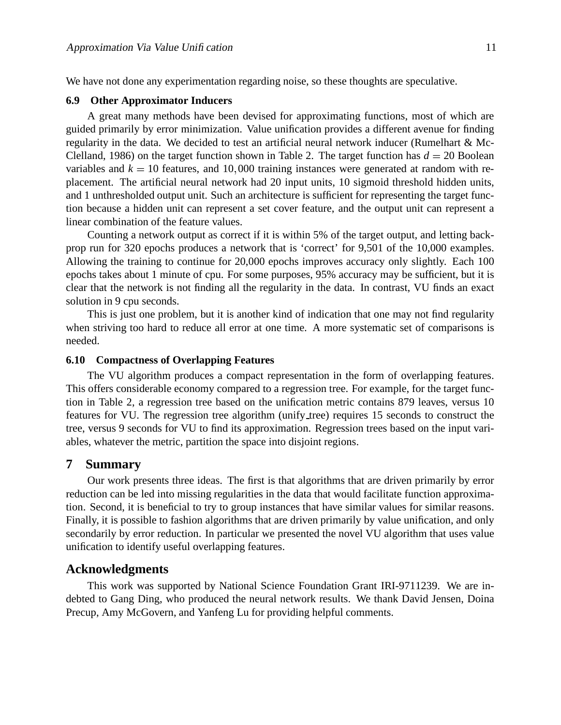We have not done any experimentation regarding noise, so these thoughts are speculative.

#### **6.9 Other Approximator Inducers**

A great many methods have been devised for approximating functions, most of which are guided primarily by error minimization. Value unification provides a different avenue for finding regularity in the data. We decided to test an artificial neural network inducer (Rumelhart & Mc-Clelland, 1986) on the target function shown in Table 2. The target function has  $d = 20$  Boolean variables and  $k = 10$  features, and 10,000 training instances were generated at random with replacement. The artificial neural network had 20 input units, 10 sigmoid threshold hidden units, and 1 unthresholded output unit. Such an architecture is sufficient for representing the target function because a hidden unit can represent a set cover feature, and the output unit can represent a linear combination of the feature values.

Counting a network output as correct if it is within 5% of the target output, and letting backprop run for 320 epochs produces a network that is 'correct' for 9,501 of the 10,000 examples. Allowing the training to continue for 20,000 epochs improves accuracy only slightly. Each 100 epochs takes about 1 minute of cpu. For some purposes, 95% accuracy may be sufficient, but it is clear that the network is not finding all the regularity in the data. In contrast, VU finds an exact solution in 9 cpu seconds.

This is just one problem, but it is another kind of indication that one may not find regularity when striving too hard to reduce all error at one time. A more systematic set of comparisons is needed.

#### **6.10 Compactness of Overlapping Features**

The VU algorithm produces a compact representation in the form of overlapping features. This offers considerable economy compared to a regression tree. For example, for the target function in Table 2, a regression tree based on the unification metric contains 879 leaves, versus 10 features for VU. The regression tree algorithm (unify tree) requires 15 seconds to construct the tree, versus 9 seconds for VU to find its approximation. Regression trees based on the input variables, whatever the metric, partition the space into disjoint regions.

#### **7 Summary**

Our work presents three ideas. The first is that algorithms that are driven primarily by error reduction can be led into missing regularities in the data that would facilitate function approximation. Second, it is beneficial to try to group instances that have similar values for similar reasons. Finally, it is possible to fashion algorithms that are driven primarily by value unification, and only secondarily by error reduction. In particular we presented the novel VU algorithm that uses value unification to identify useful overlapping features.

#### **Acknowledgments**

This work was supported by National Science Foundation Grant IRI-9711239. We are indebted to Gang Ding, who produced the neural network results. We thank David Jensen, Doina Precup, Amy McGovern, and Yanfeng Lu for providing helpful comments.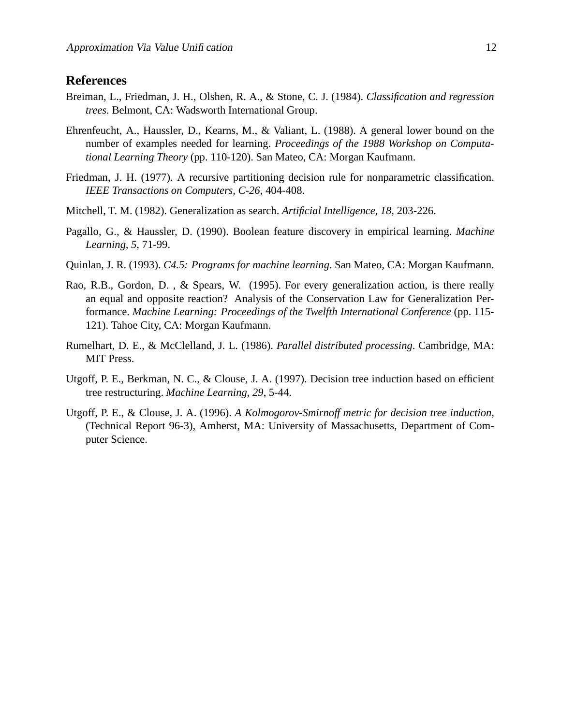# **References**

- Breiman, L., Friedman, J. H., Olshen, R. A., & Stone, C. J. (1984). *Classification and regression trees*. Belmont, CA: Wadsworth International Group.
- Ehrenfeucht, A., Haussler, D., Kearns, M., & Valiant, L. (1988). A general lower bound on the number of examples needed for learning. *Proceedings of the 1988 Workshop on Computational Learning Theory* (pp. 110-120). San Mateo, CA: Morgan Kaufmann.
- Friedman, J. H. (1977). A recursive partitioning decision rule for nonparametric classification. *IEEE Transactions on Computers, C-26*, 404-408.
- Mitchell, T. M. (1982). Generalization as search. *Artificial Intelligence, 18*, 203-226.
- Pagallo, G., & Haussler, D. (1990). Boolean feature discovery in empirical learning. *Machine Learning, 5*, 71-99.
- Quinlan, J. R. (1993). *C4.5: Programs for machine learning*. San Mateo, CA: Morgan Kaufmann.
- Rao, R.B., Gordon, D. , & Spears, W. (1995). For every generalization action, is there really an equal and opposite reaction? Analysis of the Conservation Law for Generalization Performance. *Machine Learning: Proceedings of the Twelfth International Conference* (pp. 115- 121). Tahoe City, CA: Morgan Kaufmann.
- Rumelhart, D. E., & McClelland, J. L. (1986). *Parallel distributed processing*. Cambridge, MA: MIT Press.
- Utgoff, P. E., Berkman, N. C., & Clouse, J. A. (1997). Decision tree induction based on efficient tree restructuring. *Machine Learning, 29*, 5-44.
- Utgoff, P. E., & Clouse, J. A. (1996). *A Kolmogorov-Smirnoff metric for decision tree induction*, (Technical Report 96-3), Amherst, MA: University of Massachusetts, Department of Computer Science.